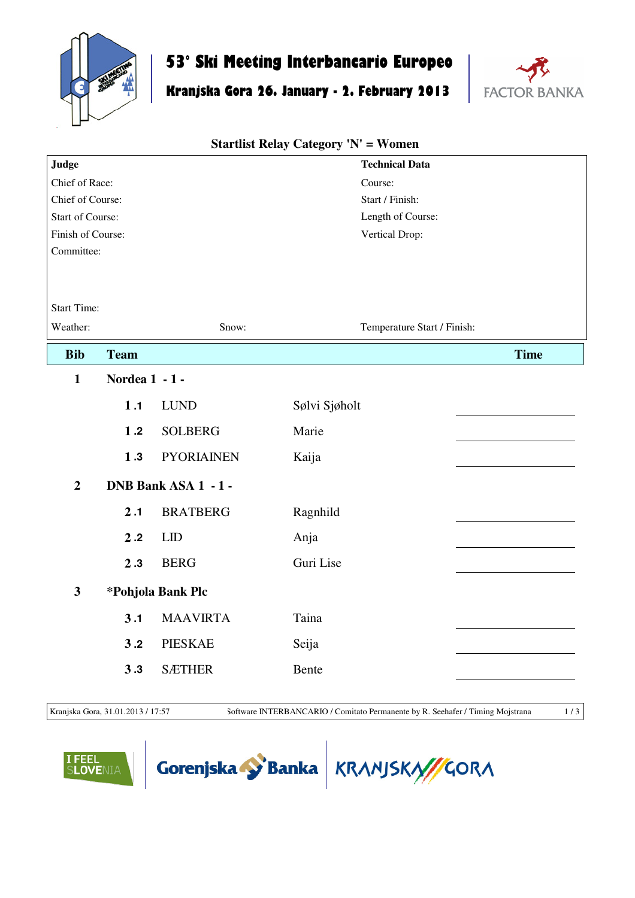

## **53° Ski Meeting Interbancario Europeo**

## **Kranjska Gora 26. January - 2. February 2013**



## **Judge** Chief of Race: Chief of Course: Start of Course: Finish of Course: Committee: Start Time: Weather: Snow: **Technical Data** Course: Start / Finish: Length of Course: Vertical Drop: Temperature Start / Finish: **Startlist Relay Category 'N' = Women Bib Team Time 1 Nordea 1 - 1 - 1 .1** LUND Sølvi Sjøholt **1 .2** SOLBERG Marie **1 .3** PYORIAINEN Kaija **2 DNB Bank ASA 1 - 1 - 2 .1** BRATBERG Ragnhild **2 .2** LID Anja **2 .3** BERG Guri Lise **3 \*Pohjola Bank Plc 3 .1** MAAVIRTA Taina **3 .2** PIESKAE Seija **3 .3** SÆTHER Bente

Kranjska Gora, 31.01.2013 / 17:57 Software INTERBANCARIO / Comitato Permanente by R. Seehafer / Timing Mojstrana 1 / 3





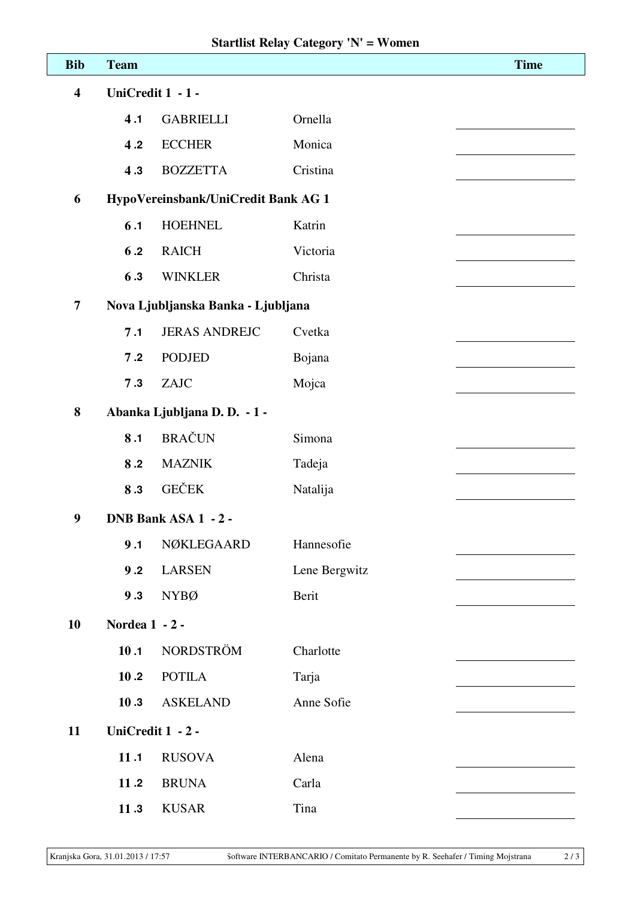| <b>Bib</b>              | <b>Team</b>                         |                      |               | <b>Time</b> |  |  |  |
|-------------------------|-------------------------------------|----------------------|---------------|-------------|--|--|--|
| $\overline{\mathbf{4}}$ |                                     | UniCredit 1 - 1 -    |               |             |  |  |  |
|                         | 4.1                                 | <b>GABRIELLI</b>     | Ornella       |             |  |  |  |
|                         | 4.2                                 | <b>ECCHER</b>        | Monica        |             |  |  |  |
|                         | 4.3                                 | <b>BOZZETTA</b>      | Cristina      |             |  |  |  |
| 6                       | HypoVereinsbank/UniCredit Bank AG 1 |                      |               |             |  |  |  |
|                         | 6.1                                 | <b>HOEHNEL</b>       | Katrin        |             |  |  |  |
|                         | 6.2                                 | <b>RAICH</b>         | Victoria      |             |  |  |  |
|                         | 6.3                                 | <b>WINKLER</b>       | Christa       |             |  |  |  |
| $\overline{7}$          | Nova Ljubljanska Banka - Ljubljana  |                      |               |             |  |  |  |
|                         | 7.1                                 | <b>JERAS ANDREJC</b> | Cvetka        |             |  |  |  |
|                         | 7.2                                 | <b>PODJED</b>        | Bojana        |             |  |  |  |
|                         | 7.3                                 | ZAJC                 | Mojca         |             |  |  |  |
| 8                       | Abanka Ljubljana D. D. - 1 -        |                      |               |             |  |  |  |
|                         | 8.1                                 | <b>BRAČUN</b>        | Simona        |             |  |  |  |
|                         | 8.2                                 | <b>MAZNIK</b>        | Tadeja        |             |  |  |  |
|                         | 8.3                                 | <b>GEČEK</b>         | Natalija      |             |  |  |  |
| $\boldsymbol{9}$        | DNB Bank ASA 1 - 2 -                |                      |               |             |  |  |  |
|                         | 9.1                                 | NØKLEGAARD           | Hannesofie    |             |  |  |  |
|                         | 9.2                                 | <b>LARSEN</b>        | Lene Bergwitz |             |  |  |  |
|                         | 9.3                                 | <b>NYBØ</b>          | Berit         |             |  |  |  |
| 10                      | Nordea 1 - 2 -                      |                      |               |             |  |  |  |
|                         | 10.1                                | NORDSTRÖM            | Charlotte     |             |  |  |  |
|                         | 10.2                                | <b>POTILA</b>        | Tarja         |             |  |  |  |
|                         | 10.3                                | <b>ASKELAND</b>      | Anne Sofie    |             |  |  |  |
| 11                      | UniCredit 1 - 2 -                   |                      |               |             |  |  |  |
|                         | 11.1                                | <b>RUSOVA</b>        | Alena         |             |  |  |  |
|                         | 11.2                                | <b>BRUNA</b>         | Carla         |             |  |  |  |
|                         | 11.3                                | <b>KUSAR</b>         | Tina          |             |  |  |  |